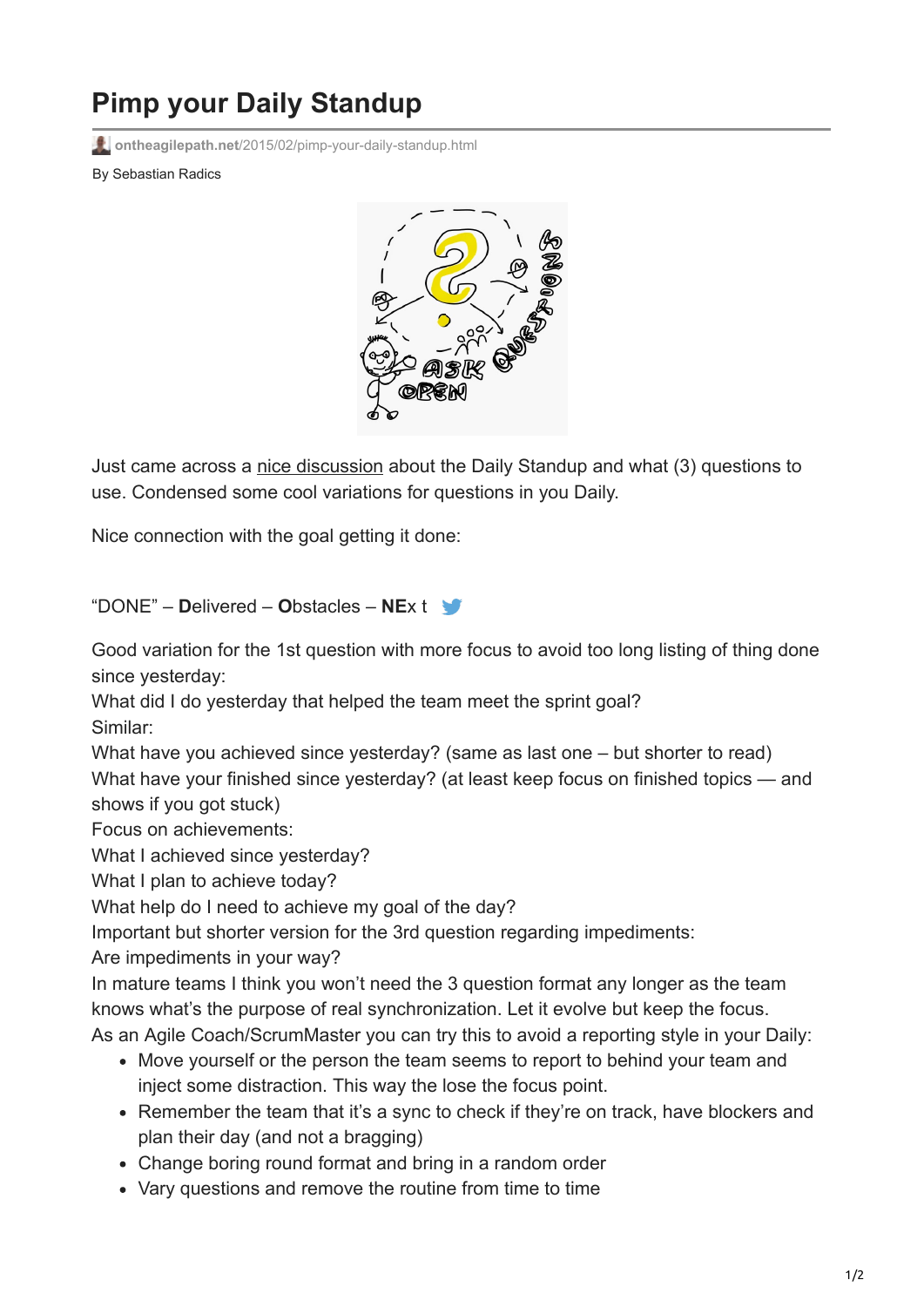## **Pimp your Daily Standup**

**ontheagilepath.net**[/2015/02/pimp-your-daily-standup.html](https://www.ontheagilepath.net/2015/02/pimp-your-daily-standup.html)

By Sebastian Radics



Just came across a [nice discussion](https://www.linkedin.com/groups/What-are-best-questions-focus-37631.S.5969655921238888450?view=&item=5969655921238888450&type=member&gid=37631&trk=eml-b2_anet_digest-hero-4-hero-disc-disc-0&midToken=AQHVC6onbak6Yg&fromEmail=fromEmail&ut=1CJ4kuuELB3SE1) about the Daily Standup and what (3) questions to use. Condensed some cool variations for questions in you Daily.

Nice connection with the goal getting it done:

"DONE" – **D**elivered – **O**bstacles – **NE**x t

Good variation for the 1st question with more focus to avoid too long listing of thing done since yesterday:

What did I do yesterday that helped the team meet the sprint goal? Similar:

What have you achieved since yesterday? (same as last one – but shorter to read) What have your finished since yesterday? (at least keep focus on finished topics — and shows if you got stuck)

Focus on achievements:

What I achieved since yesterday?

What I plan to achieve today?

What help do I need to achieve my goal of the day?

Important but shorter version for the 3rd question regarding impediments:

Are impediments in your way?

In mature teams I think you won't need the 3 question format any longer as the team knows what's the purpose of real synchronization. Let it evolve but keep the focus.

As an Agile Coach/ScrumMaster you can try this to avoid a reporting style in your Daily:

- Move yourself or the person the team seems to report to behind your team and inject some distraction. This way the lose the focus point.
- Remember the team that it's a sync to check if they're on track, have blockers and plan their day (and not a bragging)
- Change boring round format and bring in a random order
- Vary questions and remove the routine from time to time